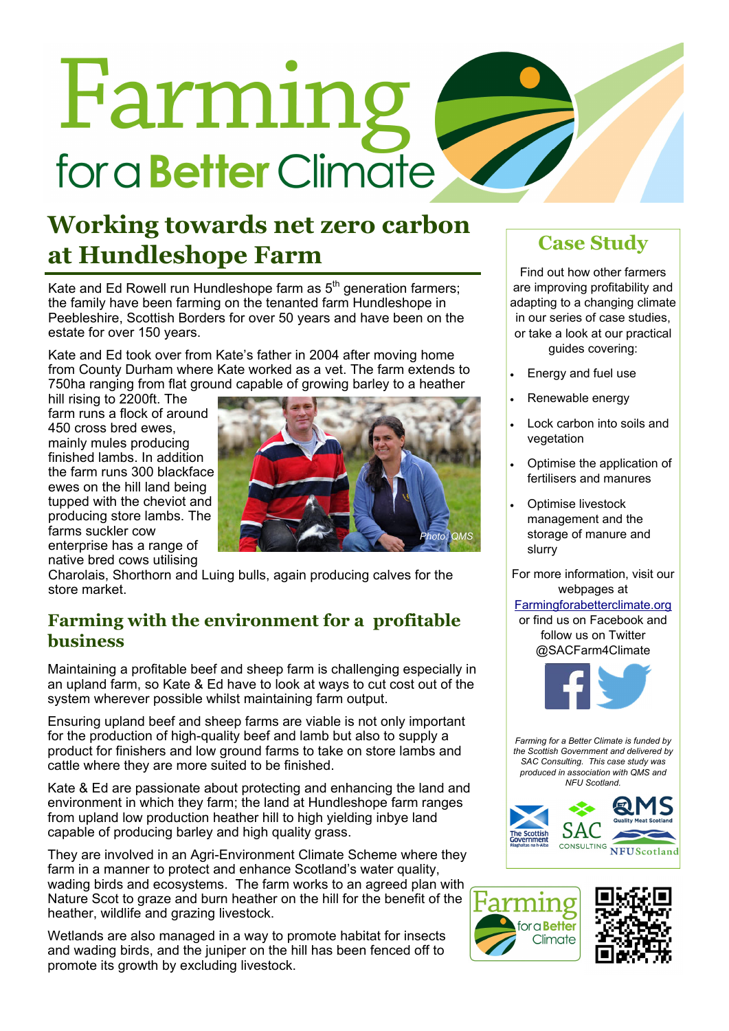# Farming for a **Better** Climate

# **Working towards net zero carbon at Hundleshope Farm**

Kate and Ed Rowell run Hundleshope farm as 5<sup>th</sup> generation farmers; the family have been farming on the tenanted farm Hundleshope in Peebleshire, Scottish Borders for over 50 years and have been on the estate for over 150 years.

Kate and Ed took over from Kate's father in 2004 after moving home from County Durham where Kate worked as a vet. The farm extends to 750ha ranging from flat ground capable of growing barley to a heather

hill rising to 2200ft. The farm runs a flock of around 450 cross bred ewes, mainly mules producing finished lambs. In addition the farm runs 300 blackface ewes on the hill land being tupped with the cheviot and producing store lambs. The farms suckler cow enterprise has a range of native bred cows utilising



Charolais, Shorthorn and Luing bulls, again producing calves for the store market.

# **Farming with the environment for a profitable business**

Maintaining a profitable beef and sheep farm is challenging especially in an upland farm, so Kate & Ed have to look at ways to cut cost out of the system wherever possible whilst maintaining farm output.

Ensuring upland beef and sheep farms are viable is not only important for the production of high-quality beef and lamb but also to supply a product for finishers and low ground farms to take on store lambs and cattle where they are more suited to be finished.

Kate & Ed are passionate about protecting and enhancing the land and environment in which they farm; the land at Hundleshope farm ranges from upland low production heather hill to high yielding inbye land capable of producing barley and high quality grass.

They are involved in an Agri-Environment Climate Scheme where they farm in a manner to protect and enhance Scotland's water quality, wading birds and ecosystems. The farm works to an agreed plan with Nature Scot to graze and burn heather on the hill for the benefit of the heather, wildlife and grazing livestock.

Wetlands are also managed in a way to promote habitat for insects and wading birds, and the juniper on the hill has been fenced off to promote its growth by excluding livestock.

# **Case Study**

Find out how other farmers are improving profitability and adapting to a changing climate in our series of case studies, or take a look at our practical guides covering:

- Energy and fuel use
- Renewable energy
- Lock carbon into soils and vegetation
- Optimise the application of fertilisers and manures
- Optimise livestock management and the storage of manure and slurry

For more information, visit our webpages at

#### Farmingforabetterclimate.org

or find us on Facebook and follow us on Twitter @SACFarm4Climate



*Farming for a Better Climate is funded by the Scottish Government and delivered by SAC Consulting. This case study was produced in association with QMS and NFU Scotland.*